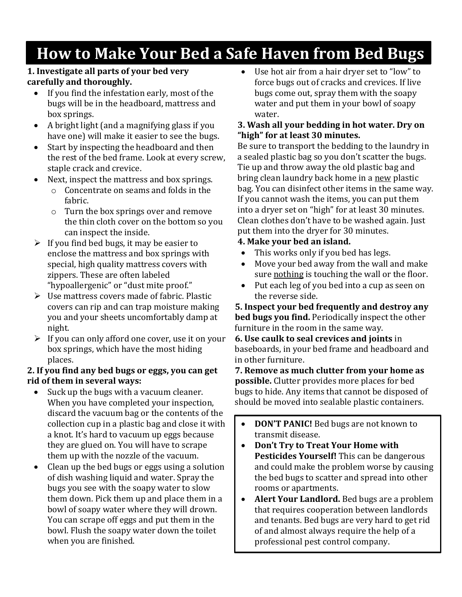# **How to Make Your Bed a Safe Haven from Bed Bugs**

#### **1. Investigate all parts of your bed very carefully and thoroughly.**

- If you find the infestation early, most of the bugs will be in the headboard, mattress and box springs.
- A bright light (and a magnifying glass if you have one) will make it easier to see the bugs.
- Start by inspecting the headboard and then the rest of the bed frame. Look at every screw, staple crack and crevice.
- Next, inspect the mattress and box springs.
	- o Concentrate on seams and folds in the fabric.
	- o Turn the box springs over and remove the thin cloth cover on the bottom so you can inspect the inside.
- $\triangleright$  If you find bed bugs, it may be easier to enclose the mattress and box springs with special, high quality mattress covers with zippers. These are often labeled "hypoallergenic" or "dust mite proof."
- $\triangleright$  Use mattress covers made of fabric. Plastic covers can rip and can trap moisture making you and your sheets uncomfortably damp at night.
- $\triangleright$  If you can only afford one cover, use it on your box springs, which have the most hiding places.

#### **2. If you find any bed bugs or eggs, you can get rid of them in several ways:**

- Suck up the bugs with a vacuum cleaner. When you have completed your inspection, discard the vacuum bag or the contents of the collection cup in a plastic bag and close it with a knot. It's hard to vacuum up eggs because they are glued on. You will have to scrape them up with the nozzle of the vacuum.
- Clean up the bed bugs or eggs using a solution of dish washing liquid and water. Spray the bugs you see with the soapy water to slow them down. Pick them up and place them in a bowl of soapy water where they will drown. You can scrape off eggs and put them in the bowl. Flush the soapy water down the toilet when you are finished.

 Use hot air from a hair dryer set to "low" to force bugs out of cracks and crevices. If live bugs come out, spray them with the soapy water and put them in your bowl of soapy water.

#### **3. Wash all your bedding in hot water. Dry on "high" for at least 30 minutes.**

Be sure to transport the bedding to the laundry in a sealed plastic bag so you don't scatter the bugs. Tie up and throw away the old plastic bag and bring clean laundry back home in a new plastic bag. You can disinfect other items in the same way. If you cannot wash the items, you can put them into a dryer set on "high" for at least 30 minutes. Clean clothes don't have to be washed again. Just put them into the dryer for 30 minutes.

## **4. Make your bed an island.**

- This works only if you bed has legs.
- Move your bed away from the wall and make sure nothing is touching the wall or the floor.
- Put each leg of you bed into a cup as seen on the reverse side.

**5. Inspect your bed frequently and destroy any bed bugs you find.** Periodically inspect the other furniture in the room in the same way.

**6. Use caulk to seal crevices and joints** in baseboards, in your bed frame and headboard and in other furniture.

**7. Remove as much clutter from your home as possible.** Clutter provides more places for bed bugs to hide. Any items that cannot be disposed of should be moved into sealable plastic containers.

- **DON'T PANIC!** Bed bugs are not known to transmit disease.
- **Don't Try to Treat Your Home with Pesticides Yourself!** This can be dangerous and could make the problem worse by causing the bed bugs to scatter and spread into other rooms or apartments.
- **Alert Your Landlord.** Bed bugs are a problem that requires cooperation between landlords and tenants. Bed bugs are very hard to get rid of and almost always require the help of a professional pest control company.